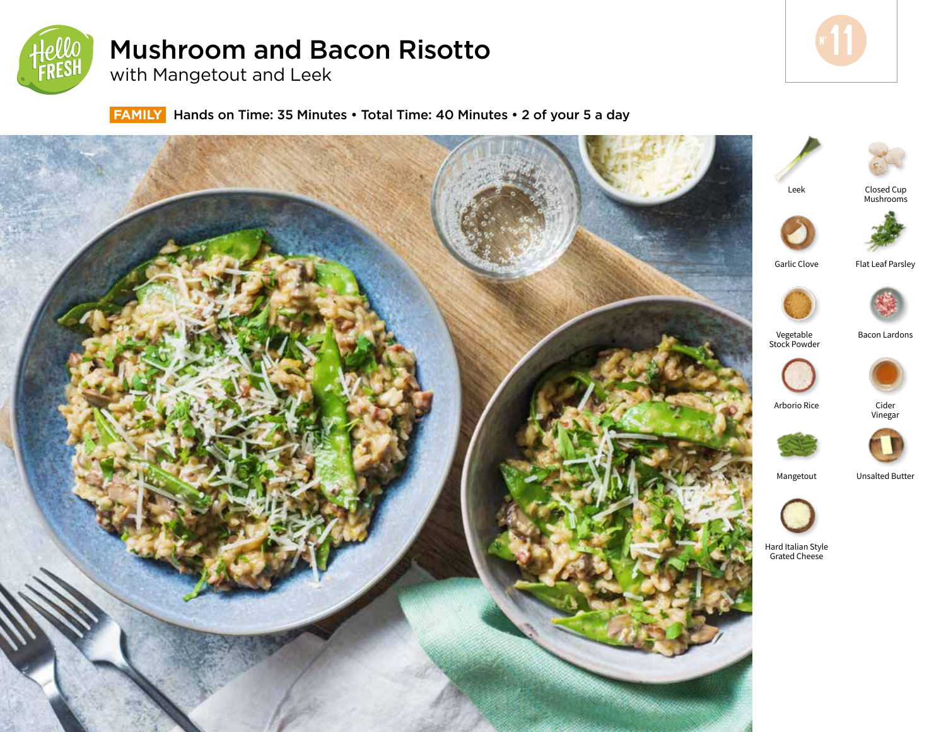

# Mushroom and Bacon Risotto

with Mangetout and Leek

 **FAMILY** Hands on Time: 35 Minutes • Total Time: 40 Minutes • 2 of your 5 a day









Bacon Lardons